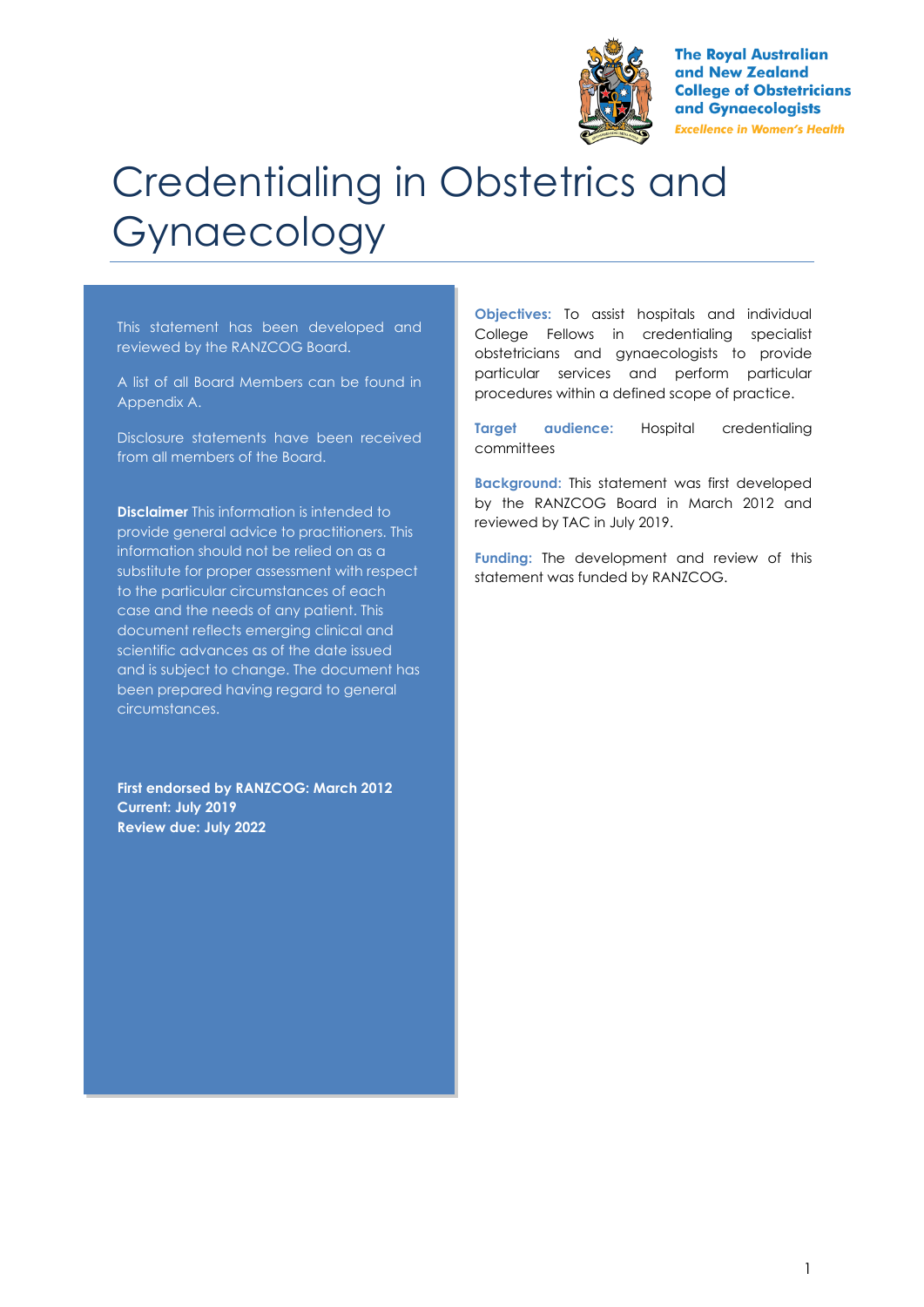

**The Royal Australian** and New Zealand **College of Obstetricians** and Gynaecologists **Excellence in Women's Health** 

# Credentialing in Obstetrics and Gynaecology

This statement has been developed and reviewed by the RANZCOG Board.

A list of all Board Members can be found in Appendix A.

Disclosure statements have been received from all members of the Board.

**Disclaimer** This information is intended to provide general advice to practitioners. This information should not be relied on as a substitute for proper assessment with respect to the particular circumstances of each case and the needs of any patient. This document reflects emerging clinical and scientific advances as of the date issued and is subject to change. The document has been prepared having regard to general circumstances.

**First endorsed by RANZCOG: March 2012 Current: July 2019 Review due: July 2022**

**Objectives:** To assist hospitals and individual College Fellows in credentialing specialist obstetricians and gynaecologists to provide particular services and perform particular procedures within a defined scope of practice.

**Target audience:** Hospital credentialing committees

**Background:** This statement was first developed by the RANZCOG Board in March 2012 and reviewed by TAC in July 2019.

**Funding:** The development and review of this statement was funded by RANZCOG.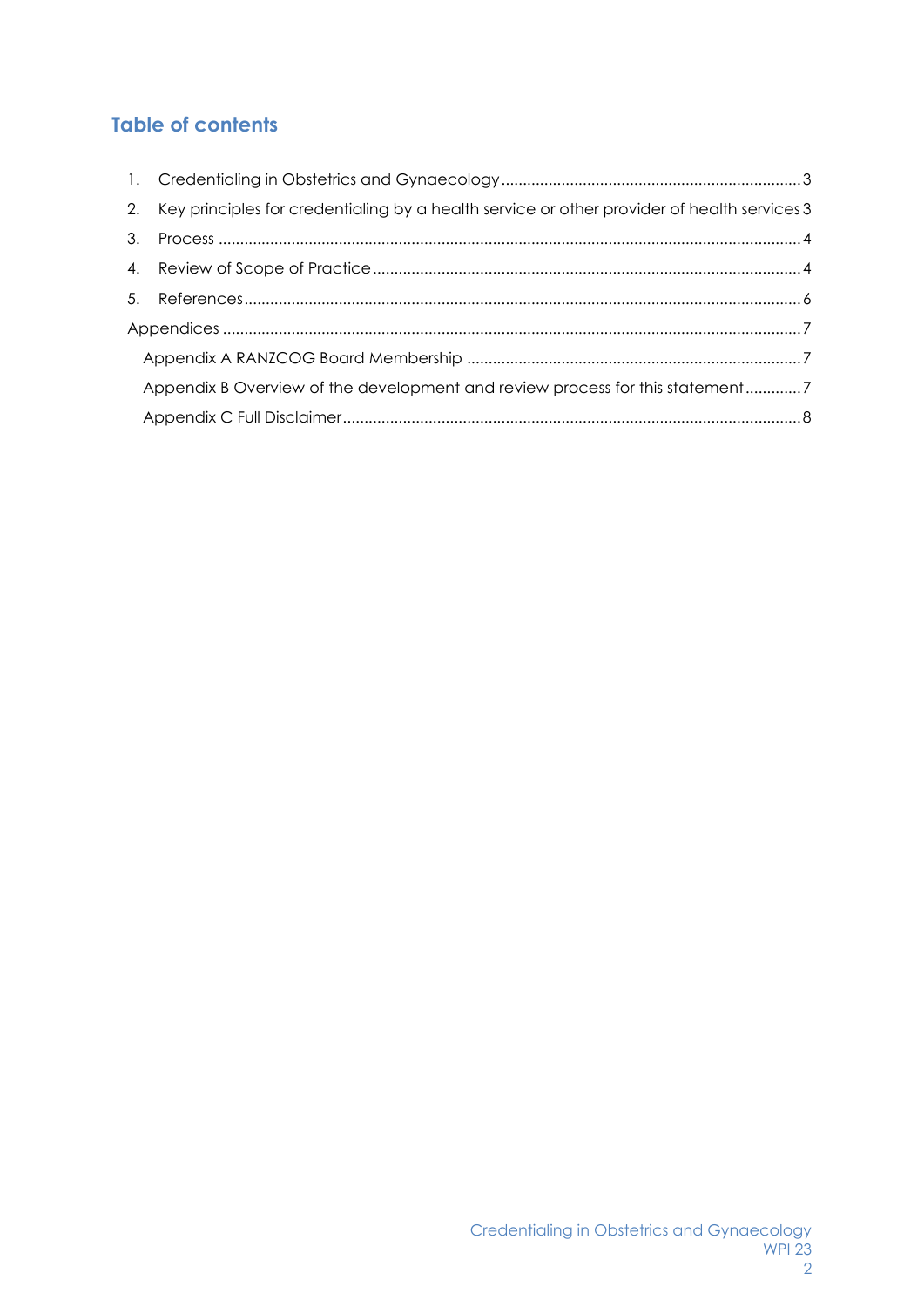# **Table of contents**

|                                                                              | 2. Key principles for credentialing by a health service or other provider of health services 3 |  |
|------------------------------------------------------------------------------|------------------------------------------------------------------------------------------------|--|
| 3.                                                                           |                                                                                                |  |
|                                                                              |                                                                                                |  |
|                                                                              |                                                                                                |  |
|                                                                              |                                                                                                |  |
|                                                                              |                                                                                                |  |
| Appendix B Overview of the development and review process for this statement |                                                                                                |  |
|                                                                              |                                                                                                |  |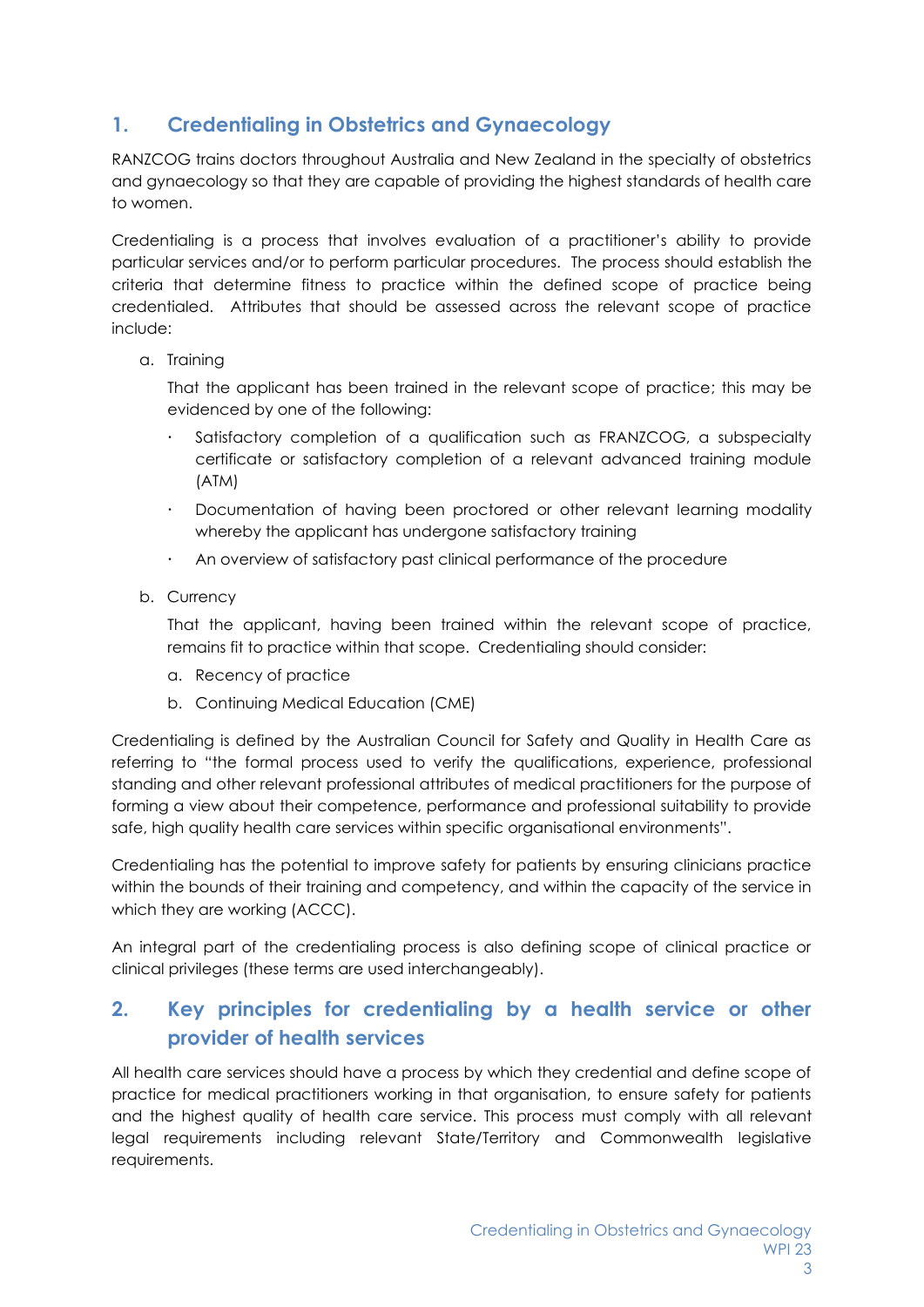# <span id="page-2-0"></span>**1. Credentialing in Obstetrics and Gynaecology**

RANZCOG trains doctors throughout Australia and New Zealand in the specialty of obstetrics and gynaecology so that they are capable of providing the highest standards of health care to women.

Credentialing is a process that involves evaluation of a practitioner's ability to provide particular services and/or to perform particular procedures. The process should establish the criteria that determine fitness to practice within the defined scope of practice being credentialed. Attributes that should be assessed across the relevant scope of practice include:

a. Training

That the applicant has been trained in the relevant scope of practice; this may be evidenced by one of the following:

- Satisfactory completion of a qualification such as FRANZCOG, a subspecialty certificate or satisfactory completion of a relevant advanced training module (ATM)
- Documentation of having been proctored or other relevant learning modality whereby the applicant has undergone satisfactory training
- An overview of satisfactory past clinical performance of the procedure
- b. Currency

That the applicant, having been trained within the relevant scope of practice, remains fit to practice within that scope. Credentialing should consider:

- a. Recency of practice
- b. Continuing Medical Education (CME)

Credentialing is defined by the Australian Council for Safety and Quality in Health Care as referring to "the formal process used to verify the qualifications, experience, professional standing and other relevant professional attributes of medical practitioners for the purpose of forming a view about their competence, performance and professional suitability to provide safe, high quality health care services within specific organisational environments".

Credentialing has the potential to improve safety for patients by ensuring clinicians practice within the bounds of their training and competency, and within the capacity of the service in which they are working (ACCC).

An integral part of the credentialing process is also defining scope of clinical practice or clinical privileges (these terms are used interchangeably).

# <span id="page-2-1"></span>**2. Key principles for credentialing by a health service or other provider of health services**

All health care services should have a process by which they credential and define scope of practice for medical practitioners working in that organisation, to ensure safety for patients and the highest quality of health care service. This process must comply with all relevant legal requirements including relevant State/Territory and Commonwealth legislative requirements.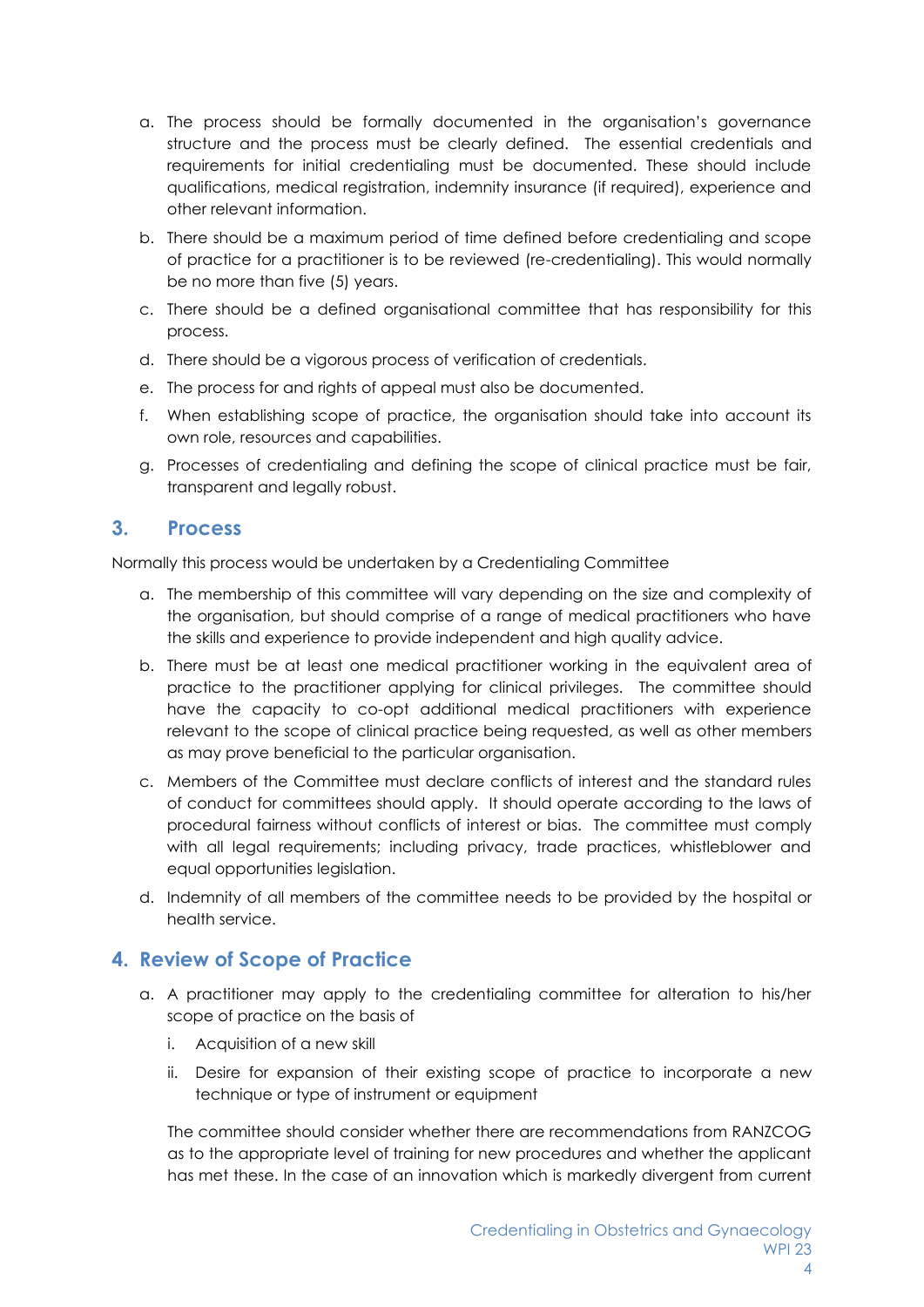- a. The process should be formally documented in the organisation's governance structure and the process must be clearly defined. The essential credentials and requirements for initial credentialing must be documented. These should include qualifications, medical registration, indemnity insurance (if required), experience and other relevant information.
- b. There should be a maximum period of time defined before credentialing and scope of practice for a practitioner is to be reviewed (re-credentialing). This would normally be no more than five (5) years.
- c. There should be a defined organisational committee that has responsibility for this process.
- d. There should be a vigorous process of verification of credentials.
- e. The process for and rights of appeal must also be documented.
- f. When establishing scope of practice, the organisation should take into account its own role, resources and capabilities.
- g. Processes of credentialing and defining the scope of clinical practice must be fair, transparent and legally robust.

### <span id="page-3-0"></span>**3. Process**

Normally this process would be undertaken by a Credentialing Committee

- a. The membership of this committee will vary depending on the size and complexity of the organisation, but should comprise of a range of medical practitioners who have the skills and experience to provide independent and high quality advice.
- b. There must be at least one medical practitioner working in the equivalent area of practice to the practitioner applying for clinical privileges. The committee should have the capacity to co-opt additional medical practitioners with experience relevant to the scope of clinical practice being requested, as well as other members as may prove beneficial to the particular organisation.
- c. Members of the Committee must declare conflicts of interest and the standard rules of conduct for committees should apply. It should operate according to the laws of procedural fairness without conflicts of interest or bias. The committee must comply with all legal requirements; including privacy, trade practices, whistleblower and equal opportunities legislation.
- d. Indemnity of all members of the committee needs to be provided by the hospital or health service.

## <span id="page-3-1"></span>**4. Review of Scope of Practice**

- a. A practitioner may apply to the credentialing committee for alteration to his/her scope of practice on the basis of
	- i. Acquisition of a new skill
	- ii. Desire for expansion of their existing scope of practice to incorporate a new technique or type of instrument or equipment

The committee should consider whether there are recommendations from RANZCOG as to the appropriate level of training for new procedures and whether the applicant has met these. In the case of an innovation which is markedly divergent from current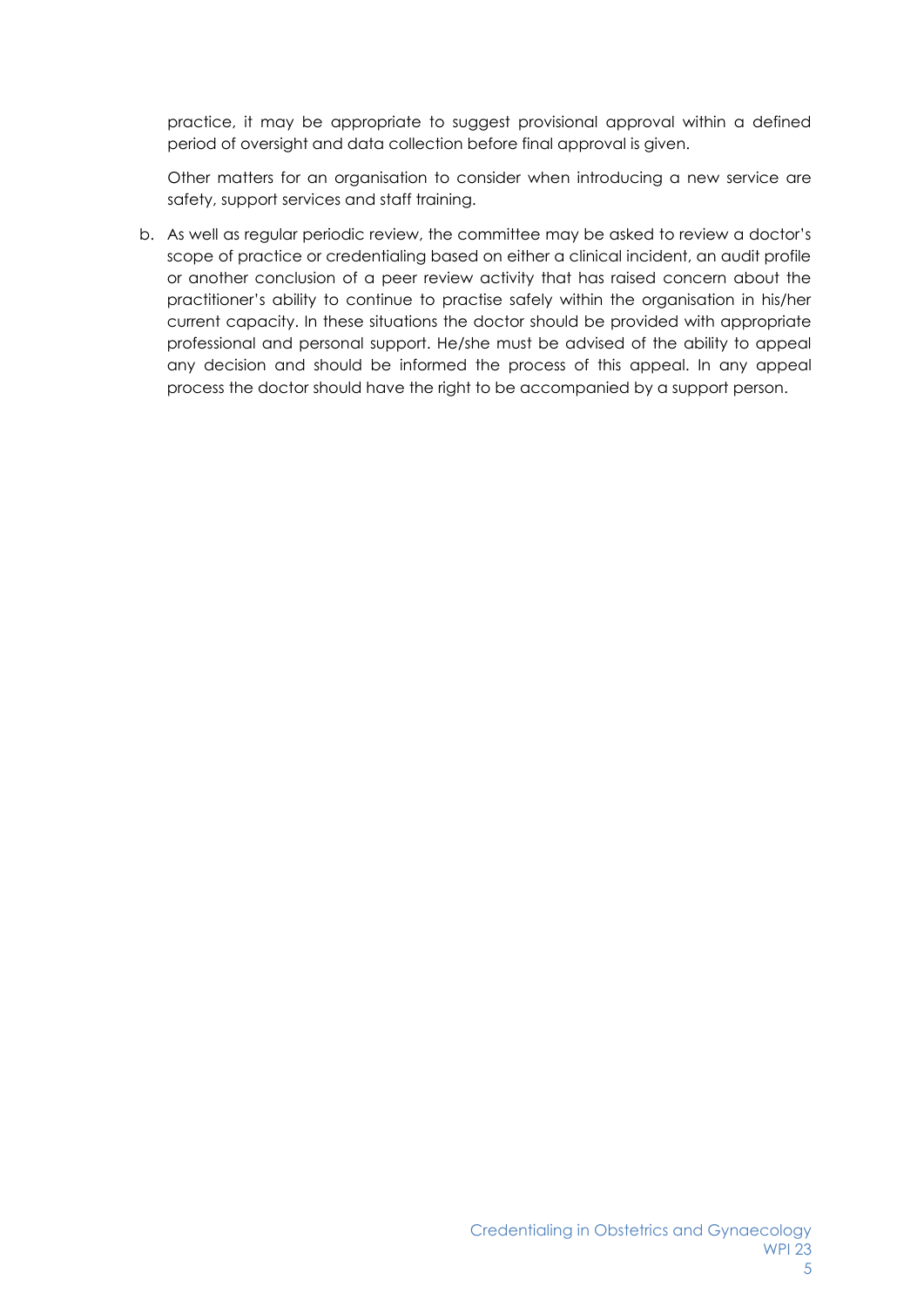practice, it may be appropriate to suggest provisional approval within a defined period of oversight and data collection before final approval is given.

Other matters for an organisation to consider when introducing a new service are safety, support services and staff training.

b. As well as regular periodic review, the committee may be asked to review a doctor's scope of practice or credentialing based on either a clinical incident, an audit profile or another conclusion of a peer review activity that has raised concern about the practitioner's ability to continue to practise safely within the organisation in his/her current capacity. In these situations the doctor should be provided with appropriate professional and personal support. He/she must be advised of the ability to appeal any decision and should be informed the process of this appeal. In any appeal process the doctor should have the right to be accompanied by a support person.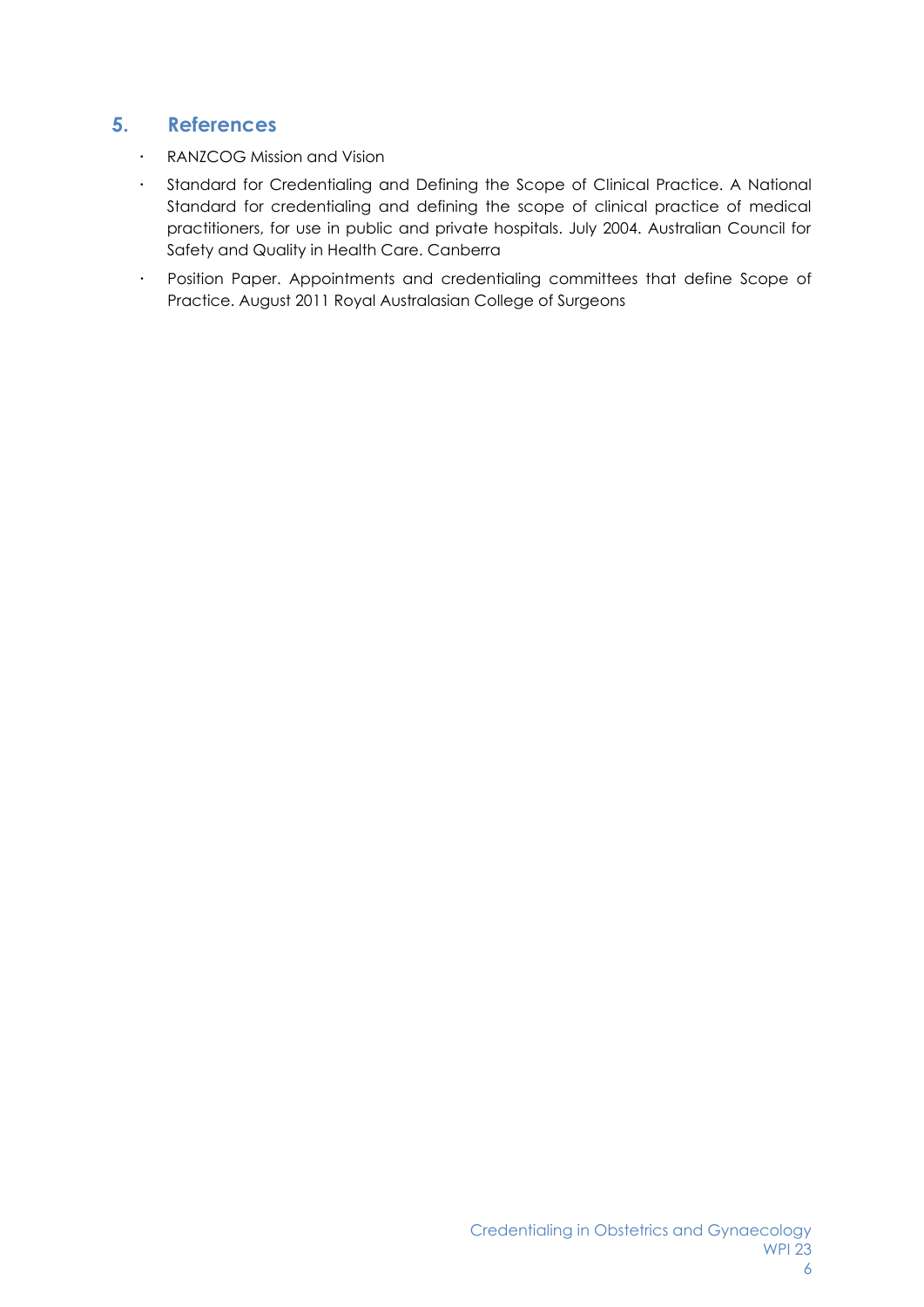## <span id="page-5-0"></span>**5. References**

- RANZCOG Mission and Vision
- Standard for Credentialing and Defining the Scope of Clinical Practice. A National Standard for credentialing and defining the scope of clinical practice of medical practitioners, for use in public and private hospitals. July 2004. Australian Council for Safety and Quality in Health Care. Canberra
- Position Paper. Appointments and credentialing committees that define Scope of Practice. August 2011 Royal Australasian College of Surgeons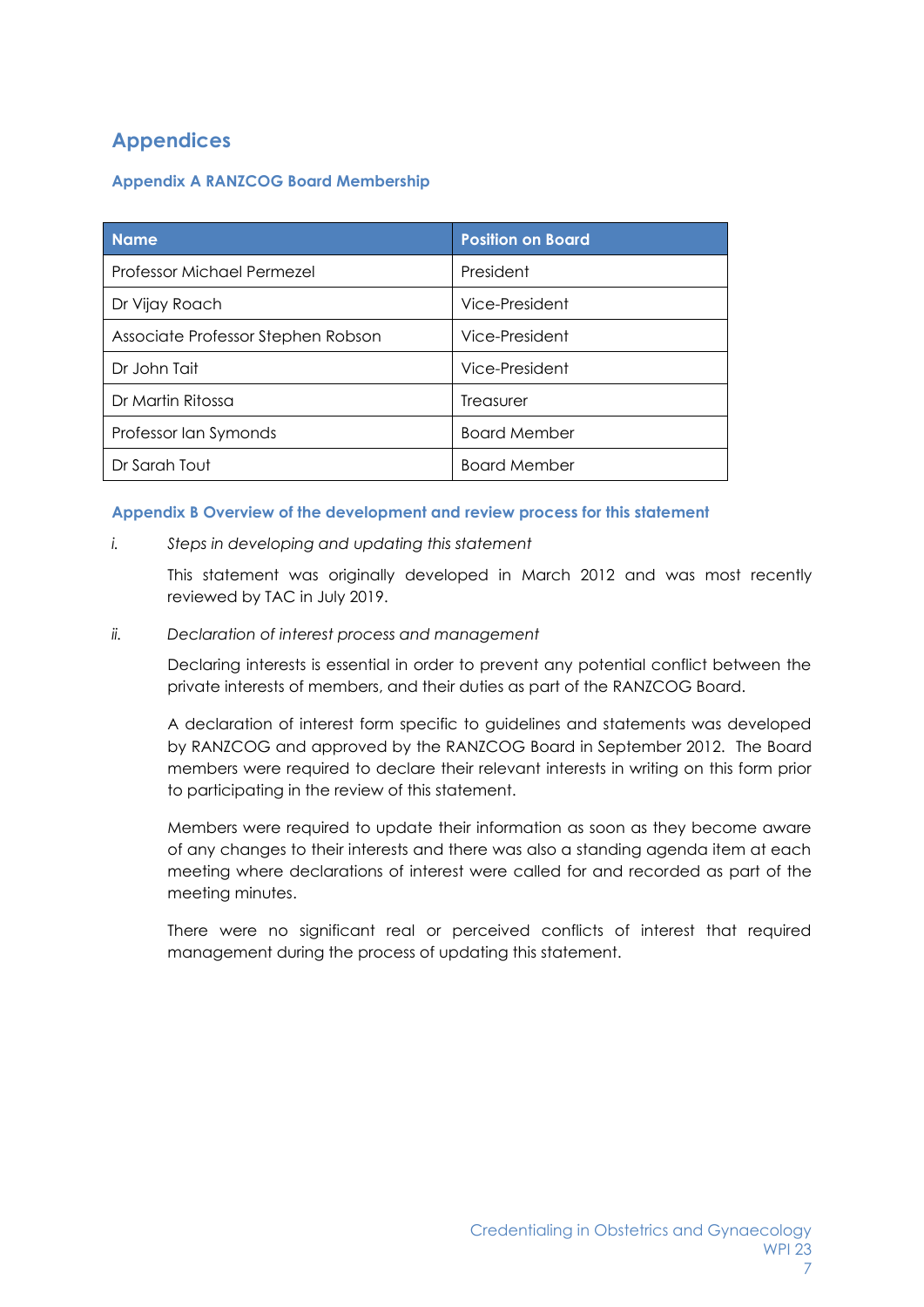# <span id="page-6-0"></span>**Appendices**

#### <span id="page-6-1"></span>**Appendix A RANZCOG Board Membership**

| <b>Name</b>                        | <b>Position on Board</b> |
|------------------------------------|--------------------------|
| Professor Michael Permezel         | President                |
| Dr Vijay Roach                     | Vice-President           |
| Associate Professor Stephen Robson | Vice-President           |
| Dr John Tait                       | Vice-President           |
| Dr Martin Ritossa                  | Treasurer                |
| Professor Ian Symonds              | <b>Board Member</b>      |
| Dr Sarah Tout                      | <b>Board Member</b>      |

#### <span id="page-6-2"></span>**Appendix B Overview of the development and review process for this statement**

*i. Steps in developing and updating this statement*

This statement was originally developed in March 2012 and was most recently reviewed by TAC in July 2019.

*ii. Declaration of interest process and management*

Declaring interests is essential in order to prevent any potential conflict between the private interests of members, and their duties as part of the RANZCOG Board.

A declaration of interest form specific to guidelines and statements was developed by RANZCOG and approved by the RANZCOG Board in September 2012. The Board members were required to declare their relevant interests in writing on this form prior to participating in the review of this statement.

Members were required to update their information as soon as they become aware of any changes to their interests and there was also a standing agenda item at each meeting where declarations of interest were called for and recorded as part of the meeting minutes.

There were no significant real or perceived conflicts of interest that required management during the process of updating this statement.